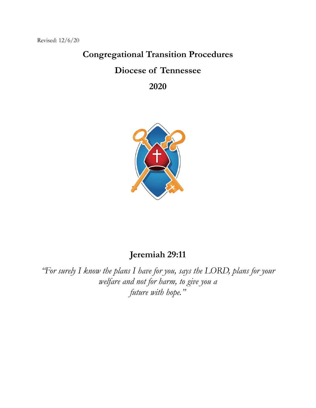# **Congregational Transition Procedures Diocese of Tennessee**

**2020**



# **Jeremiah 29:11**

*"For surely I know the plans I have for you, says the LORD, plans for your welfare and not for harm, to give you a future with hope."*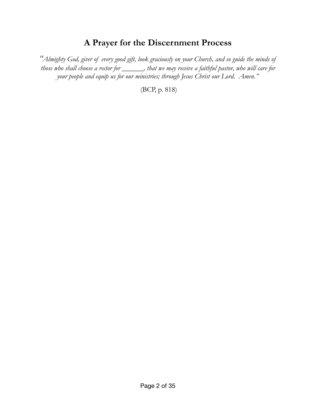# **A Prayer for the Discernment Process**

*"Almighty God, giver of every good gift, look graciously on your Church, and so guide the minds of those who shall choose a rector for \_\_\_\_\_\_, that we may receive a faithful pastor, who will care for your people and equip us for our ministries; through Jesus Christ our Lord. Amen."*

(BCP, p. 818)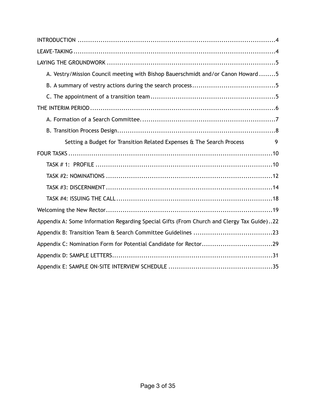| A. Vestry/Mission Council meeting with Bishop Bauerschmidt and/or Canon Howard 5          |
|-------------------------------------------------------------------------------------------|
|                                                                                           |
|                                                                                           |
|                                                                                           |
|                                                                                           |
|                                                                                           |
| Setting a Budget for Transition Related Expenses & The Search Process<br>9                |
|                                                                                           |
|                                                                                           |
|                                                                                           |
|                                                                                           |
|                                                                                           |
|                                                                                           |
| Appendix A: Some Information Regarding Special Gifts (From Church and Clergy Tax Guide)22 |
|                                                                                           |
| Appendix C: Nomination Form for Potential Candidate for Rector29                          |
|                                                                                           |
|                                                                                           |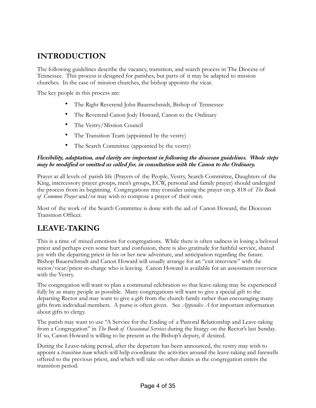# <span id="page-3-0"></span>**INTRODUCTION**

The following guidelines describe the vacancy, transition, and search process in The Diocese of Tennessee. This process is designed for parishes, but parts of it may be adapted to mission churches. In the case of mission churches, the bishop appoints the vicar.

The key people in this process are:

- The Right Reverend John Bauerschmidt, Bishop of Tennessee
- The Reverend Canon Jody Howard, Canon to the Ordinary
- The Vestry/Mission Council
- The Transition Team (appointed by the vestry)
- The Search Committee (appointed by the vestry)

#### *Flexibility, adaptation, and clarity are important in following the diocesan guidelines. Whole steps may be modified or omitted as called for, in consultation with the Canon to the Ordinary.*

Prayer at all levels of parish life (Prayers of the People, Vestry, Search Committee, Daughters of the King, intercessory prayer groups, men's groups, ECW, personal and family prayer) should undergird the process from its beginning. Congregations may consider using the prayer on p. 818 of *The Book of Common Prayer* and/or may wish to compose a prayer of their own.

Most of the work of the Search Committee is done with the aid of Canon Howard, the Diocesan Transition Officer.

# <span id="page-3-1"></span>**LEAVE-TAKING**

This is a time of mixed emotions for congregations. While there is often sadness in losing a beloved priest and perhaps even some hurt and confusion, there is also gratitude for faithful service, shared joy with the departing priest in his or her new adventure, and anticipation regarding the future. Bishop Bauerschmidt and Canon Howard will usually arrange for an "exit interview" with the rector/vicar/priest-in-charge who is leaving. Canon Howard is available for an assessment overview with the Vestry.

The congregation will want to plan a communal celebration so that leave-taking may be experienced fully by as many people as possible. Many congregations will want to give a special gift to the departing Rector and may want to give a gift from the church family rather than encouraging many gifts from individual members. A purse is often given. See *Appendix A* for important information about gifts to clergy.

The parish may want to use "A Service for the Ending of a Pastoral Relationship and Leave-taking from a Congregation" in *The Book of Occasional Services* during the liturgy on the Rector's last Sunday. If so, Canon Howard is willing to be present as the Bishop's deputy, if desired.

During the Leave-taking period, after the departure has been announced, the vestry may wish to appoint a *transition team* which will help coordinate the activities around the leave-taking and farewells offered to the previous priest, and which will take on other duties as the congregation enters the transition period.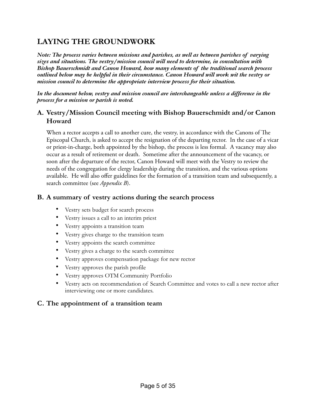# <span id="page-4-0"></span>**LAYING THE GROUNDWORK**

*Note: The process varies between missions and parishes, as well as between parishes of varying sizes and situations. The vestry/mission council will need to determine, in consultation with Bishop Bauerschmidt and Canon Howard, how many elements of the traditional search process outlined below may be helpful in their circumstance. Canon Howard will work wit the vestry or mission council to determine the appropriate interview process for their situation.*

*In the document below, vestry and mission council are interchangeable unless a difference in the process for a mission or parish is noted.*

## <span id="page-4-1"></span>**A. Vestry/Mission Council meeting with Bishop Bauerschmidt and/or Canon Howard**

When a rector accepts a call to another cure, the vestry, in accordance with the Canons of The Episcopal Church, is asked to accept the resignation of the departing rector. In the case of a vicar or priest-in-charge, both appointed by the bishop, the process is less formal. A vacancy may also occur as a result of retirement or death. Sometime after the announcement of the vacancy, or soon after the departure of the rector, Canon Howard will meet with the Vestry to review the needs of the congregation for clergy leadership during the transition, and the various options available. He will also offer guidelines for the formation of a transition team and subsequently, a search committee (see *Appendix B*).

### <span id="page-4-2"></span>**B. A summary of vestry actions during the search process**

- Vestry sets budget for search process
- Vestry issues a call to an interim priest
- Vestry appoints a transition team
- Vestry gives charge to the transition team
- Vestry appoints the search committee
- Vestry gives a charge to the search committee
- Vestry approves compensation package for new rector
- Vestry approves the parish profile
- Vestry approves OTM Community Portfolio
- Vestry acts on recommendation of Search Committee and votes to call a new rector after interviewing one or more candidates.

#### <span id="page-4-3"></span>**C. The appointment of a transition team**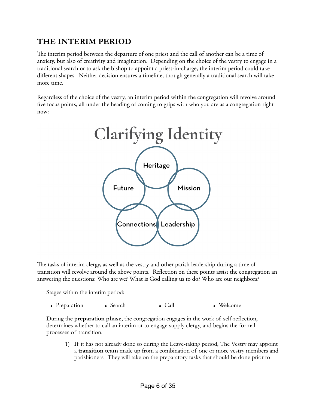# <span id="page-5-0"></span>**THE INTERIM PERIOD**

The interim period between the departure of one priest and the call of another can be a time of anxiety, but also of creativity and imagination. Depending on the choice of the vestry to engage in a traditional search or to ask the bishop to appoint a priest-in-charge, the interim period could take different shapes. Neither decision ensures a timeline, though generally a traditional search will take more time.

Regardless of the choice of the vestry, an interim period within the congregation will revolve around five focus points, all under the heading of coming to grips with who you are as a congregation right now:



The tasks of interim clergy, as well as the vestry and other parish leadership during a time of transition will revolve around the above points. Reflection on these points assist the congregation an answering the questions: Who are we? What is God calling us to do? Who are our neighbors?

Stages within the interim period:

|  | • Preparation |  | • Search |  | $\bullet$ Call | • Welcome |
|--|---------------|--|----------|--|----------------|-----------|
|--|---------------|--|----------|--|----------------|-----------|

During the **preparation phase**, the congregation engages in the work of self-reflection, determines whether to call an interim or to engage supply clergy, and begins the formal processes of transition.

1) If it has not already done so during the Leave-taking period, The Vestry may appoint a **transition team** made up from a combination of one or more vestry members and parishioners. They will take on the preparatory tasks that should be done prior to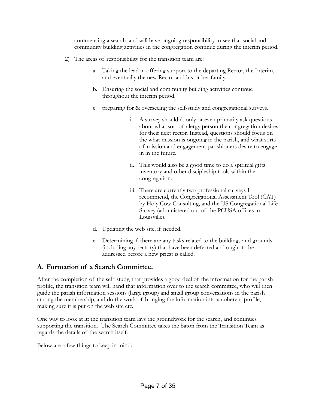commencing a search, and will have ongoing responsibility to see that social and community building activities in the congregation continue during the interim period.

- 2) The areas of responsibility for the transition team are:
	- a. Taking the lead in offering support to the departing Rector, the Interim, and eventually the new Rector and his or her family.
	- b. Ensuring the social and community building activities continue throughout the interim period.
	- c. preparing for & overseeing the self-study and congregational surveys.
		- i. A survey shouldn't only or even primarily ask questions about what sort of clergy person the congregation desires for their next rector. Instead, questions should focus on the what mission is ongoing in the parish, and what sorts of mission and engagement parishioners desire to engage in in the future.
		- ii. This would also be a good time to do a spiritual gifts inventory and other discipleship tools within the congregation.
		- iii. There are currently two professional surveys I recommend, the Congregational Assessment Tool (CAT) by Holy Cow Consulting, and the US Congregational Life Survey (administered out of the PCUSA offices in Louisville).
	- d. Updating the web site, if needed.
	- e. Determining if there are any tasks related to the buildings and grounds (including any rectory) that have been deferred and ought to be addressed before a new priest is called.

### <span id="page-6-0"></span>**A. Formation of a Search Committee.**

After the completion of the self study, that provides a good deal of the information for the parish profile, the transition team will hand that information over to the search committee, who will then guide the parish information sessions (large group) and small group conversations in the parish among the membership, and do the work of bringing the information into a coherent profile, making sure it is put on the web site etc.

One way to look at it: the transition team lays the groundwork for the search, and continues supporting the transition. The Search Committee takes the baton from the Transition Team as regards the details of the search itself.

Below are a few things to keep in mind: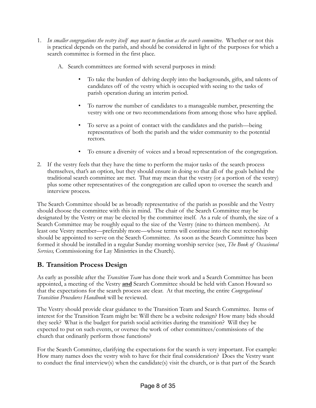- 1. *In smaller congregations the vestry itself may want to function as the search committee*. Whether or not this is practical depends on the parish, and should be considered in light of the purposes for which a search committee is formed in the first place.
	- A. Search committees are formed with several purposes in mind:
		- To take the burden of delving deeply into the backgrounds, gifts, and talents of candidates off of the vestry which is occupied with seeing to the tasks of parish operation during an interim period.
		- To narrow the number of candidates to a manageable number, presenting the vestry with one or two recommendations from among those who have applied.
		- To serve as a point of contact with the candidates and the parish—being representatives of both the parish and the wider community to the potential rectors.
		- To ensure a diversity of voices and a broad representation of the congregation.
- 2. If the vestry feels that they have the time to perform the major tasks of the search process themselves, that's an option, but they should ensure in doing so that all of the goals behind the traditional search committee are met. That may mean that the vestry (or a portion of the vestry) plus some other representatives of the congregation are called upon to oversee the search and interview process.

The Search Committee should be as broadly representative of the parish as possible and the Vestry should choose the committee with this in mind. The chair of the Search Committee may be designated by the Vestry or may be elected by the committee itself. As a rule of thumb, the size of a Search Committee may be roughly equal to the size of the Vestry (nine to thirteen members). At least one Vestry member—preferably more—whose terms will continue into the next rectorship should be appointed to serve on the Search Committee. As soon as the Search Committee has been formed it should be installed in a regular Sunday morning worship service (see, *The Book of Occasional Services,* Commissioning for Lay Ministries in the Church).

# <span id="page-7-0"></span>**B. Transition Process Design**

As early as possible after the *Transition Team* has done their work and a Search Committee has been appointed, a meeting of the Vestry **and** Search Committee should be held with Canon Howard so that the expectations for the search process are clear. At that meeting, the entire *Congregational Transition Procedures Handbook* will be reviewed.

The Vestry should provide clear guidance to the Transition Team and Search Committee. Items of interest for the Transition Team might be: Will there be a website redesign? How many bids should they seek? What is the budget for parish social activities during the transition? Will they be expected to put on such events, or oversee the work of other committees/commissions of the church that ordinarily perform those functions?

For the Search Committee, clarifying the expectations for the search is very important. For example: How many names does the vestry wish to have for their final consideration? Does the Vestry want to conduct the final interview(s) when the candidate(s) visit the church, or is that part of the Search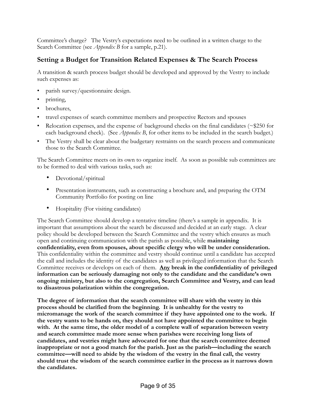Committee's charge? The Vestry's expectations need to be outlined in a written charge to the Search Committee (see *Appendix B* for a sample, p.21).

# <span id="page-8-0"></span>**Setting a Budget for Transition Related Expenses & The Search Process**

A transition & search process budget should be developed and approved by the Vestry to include such expenses as:

- parish survey/questionnaire design.
- printing,
- brochures,
- travel expenses of search committee members and prospective Rectors and spouses
- Relocation expenses, and the expense of background checks on the final candidates ( $\approx$ \$250 for each background check). (See *Appendix B*, for other items to be included in the search budget.)
- The Vestry shall be clear about the budgetary restraints on the search process and communicate those to the Search Committee.

The Search Committee meets on its own to organize itself. As soon as possible sub committees are to be formed to deal with various tasks, such as:

- Devotional/spiritual
- Presentation instruments, such as constructing a brochure and, and preparing the OTM Community Portfolio for posting on line
- Hospitality (For visiting candidates)

The Search Committee should develop a tentative timeline (there's a sample in appendix. It is important that assumptions about the search be discussed and decided at an early stage. A clear policy should be developed between the Search Committee and the vestry which ensures as much open and continuing communication with the parish as possible, while **maintaining confidentiality, even from spouses, about specific clergy who will be under consideration.** This confidentiality within the committee and vestry should continue until a candidate has accepted the call and includes the identity of the candidates as well as privileged information that the Search Committee receives or develops on each of them. **Any break in the confidentiality of privileged information can be seriously damaging not only to the candidate and the candidate's own ongoing ministry, but also to the congregation, Search Committee and Vestry, and can lead to disastrous polarization within the congregation.**

**The degree of information that the search committee will share with the vestry in this process should be clarified from the beginning. It is unhealthy for the vestry to micromanage the work of the search committee if they have appointed one to the work. If the vestry wants to be hands on, they should not have appointed the committee to begin with. At the same time, the older model of a complete wall of separation between vestry and search committee made more sense when parishes were receiving long lists of candidates, and vestries might have advocated for one that the search committee deemed inappropriate or not a good match for the parish. Just as the parish—including the search committee—will need to abide by the wisdom of the vestry in the final call, the vestry should trust the wisdom of the search committee earlier in the process as it narrows down the candidates.**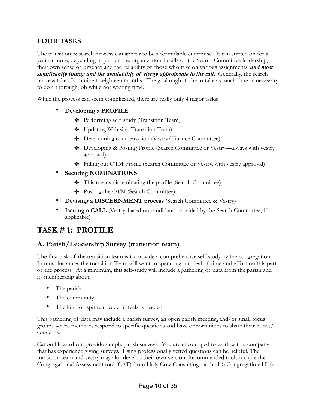# <span id="page-9-0"></span>**FOUR TASKS**

The transition & search process can appear to be a formidable enterprise. It can stretch on for a year or more, depending in part on the organizational skills of the Search Committee leadership, their own sense of urgency and the reliability of those who take on various assignments, *and most significantly timing and the availability of clergy appropriate to the call.* Generally, the search process takes from nine to eighteen months. The goal ought to be to take as much time as necessary to do a thorough job while not wasting time.

While the process can seem complicated, there are really only 4 major tasks:

- **Developing a PROFILE**
	- ✤ Performing self study (Transition Team)
	- ✤ Updating Web site (Transition Team)
	- ✤ Determining compensation (Vestry/Finance Committee)
	- ✤ Developing & Posting Profile (Search Committee or Vestry—always with vestry approval)
	- ✤ Filling out OTM Profile (Search Committee or Vestry, with vestry approval)
- **Securing NOMINATIONS**
	- ✤ This means disseminating the profile (Search Committee)
	- ✤ Posting the OTM (Search Committee)
- **Devising a DISCERNMENT process** (Search Committee & Vestry)
- **Issuing a CALL** (Vestry, based on candidates provided by the Search Committee, if applicable)

# <span id="page-9-1"></span>**TASK # 1: PROFILE**

# **A. Parish/Leadership Survey (transition team)**

The first task of the transition team is to provide a comprehensive self-study by the congregation. In most instances the transition Team will want to spend a good deal of time and effort on this part of the process. At a minimum, this self-study will include a gathering of data from the parish and its membership about:

- The parish
- The community
- The kind of spiritual leader it feels is needed

This gathering of data may include a parish survey, an open parish meeting, and/or small focus groups where members respond to specific questions and have opportunities to share their hopes/ concerns.

Canon Howard can provide sample parish surveys. You are encouraged to work with a company that has experience giving surveys. Using professionally vetted questions can be helpful. The transition team and vestry may also develop their own version. Recommended tools include the Congregational Assessment tool (CAT) from Holy Cow Consulting, or the US Congregational Life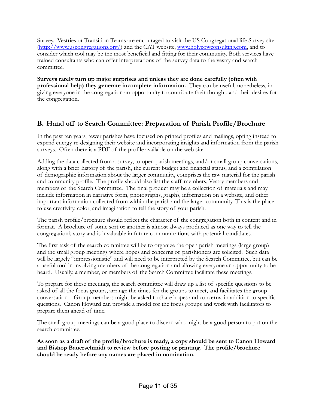Survey. Vestries or Transition Teams are encouraged to visit the US Congregational life Survey site ([http://www.uscongregations.org/\)](http://www.uscongregations.org/) and the CAT website, [www.holycowconsulting.com](http://www.holycowconsulting.com), and to consider which tool may be the most beneficial and fitting for their community. Both services have trained consultants who can offer interpretations of the survey data to the vestry and search committee.

**Surveys rarely turn up major surprises and unless they are done carefully (often with professional help) they generate incomplete information.** They can be useful, nonetheless, in giving everyone in the congregation an opportunity to contribute their thought, and their desires for the congregation.

# **B. Hand off to Search Committee: Preparation of Parish Profile/Brochure**

In the past ten years, fewer parishes have focused on printed profiles and mailings, opting instead to expend energy re-designing their website and incorporating insights and information from the parish surveys. Often there is a PDF of the profile available on the web site.

Adding the data collected from a survey, to open parish meetings, and/or small group conversations, along with a brief history of the parish, the current budget and financial status, and a compilation of demographic information about the larger community, comprises the raw material for the parish and community profile. The profile should also list the staff members, Vestry members and members of the Search Committee. The final product may be a collection of materials and may include information in narrative form, photographs, graphs, information on a website, and other important information collected from within the parish and the larger community. This is the place to use creativity, color, and imagination to tell the story of your parish.

The parish profile/brochure should reflect the character of the congregation both in content and in format. A brochure of some sort or another is almost always produced as one way to tell the congregation's story and is invaluable in future communications with potential candidates.

The first task of the search committee will be to organize the open parish meetings (large group) and the small group meetings where hopes and concerns of parishioners are solicited. Such data will be largely "impressionistic" and will need to be interpreted by the Search Committee, but can be a useful tool in involving members of the congregation and allowing everyone an opportunity to be heard. Usually, a member, or members of the Search Committee facilitate these meetings.

To prepare for these meetings, the search committee will draw up a list of specific questions to be asked of all the focus groups, arrange the times for the groups to meet, and facilitates the group conversation . Group members might be asked to share hopes and concerns, in addition to specific questions. Canon Howard can provide a model for the focus groups and work with facilitators to prepare them ahead of time.

The small group meetings can be a good place to discern who might be a good person to put on the search committee.

**As soon as a draft of the profile/brochure is ready, a copy should be sent to Canon Howard and Bishop Bauerschmidt to review before posting or printing. The profile/brochure should be ready before any names are placed in nomination.**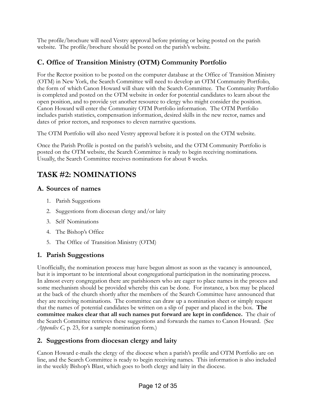The profile/brochure will need Vestry approval before printing or being posted on the parish website. The profile/brochure should be posted on the parish's website.

# **C. Office of Transition Ministry (OTM) Community Portfolio**

For the Rector position to be posted on the computer database at the Office of Transition Ministry (OTM) in New York, the Search Committee will need to develop an OTM Community Portfolio, the form of which Canon Howard will share with the Search Committee*.* The Community Portfolio is completed and posted on the OTM website in order for potential candidates to learn about the open position, and to provide yet another resource to clergy who might consider the position. Canon Howard will enter the Community OTM Portfolio information. The OTM Portfolio includes parish statistics, compensation information, desired skills in the new rector, names and dates of prior rectors, and responses to eleven narrative questions.

The OTM Portfolio will also need Vestry approval before it is posted on the OTM website.

Once the Parish Profile is posted on the parish's website, and the OTM Community Portfolio is posted on the OTM website, the Search Committee is ready to begin receiving nominations. Usually, the Search Committee receives nominations for about 8 weeks.

# <span id="page-11-0"></span>**TASK #2: NOMINATIONS**

# **A. Sources of names**

- 1. Parish Suggestions
- 2. Suggestions from diocesan clergy and/or laity
- 3. Self Nominations
- 4. The Bishop's Office
- 5. The Office of Transition Ministry (OTM)

# **1. Parish Suggestions**

Unofficially, the nomination process may have begun almost as soon as the vacancy is announced, but it is important to be intentional about congregational participation in the nominating process. In almost every congregation there are parishioners who are eager to place names in the process and some mechanism should be provided whereby this can be done. For instance, a box may be placed at the back of the church shortly after the members of the Search Committee have announced that they are receiving nominations. The committee can draw up a nomination sheet or simply request that the names of potential candidates be written on a slip of paper and placed in the box. **The committee makes clear that all such names put forward are kept in confidence.** The chair of the Search Committee retrieves these suggestions and forwards the names to Canon Howard. (See *Appendix C,* p. 23, for a sample nomination form.)

# **2. Suggestions from diocesan clergy and laity**

Canon Howard e-mails the clergy of the diocese when a parish's profile and OTM Portfolio are on line, and the Search Committee is ready to begin receiving names. This information is also included in the weekly Bishop's Blast, which goes to both clergy and laity in the diocese.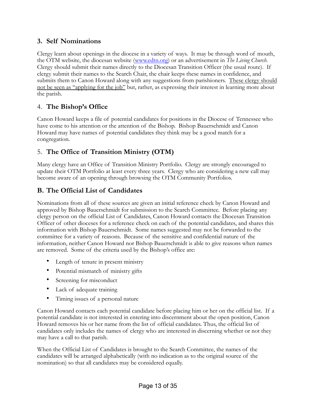# **3. Self Nominations**

Clergy learn about openings in the diocese in a variety of ways. It may be through word of mouth, the OTM website, the diocesan website [\(www.edtn.org](http://www.edtn.org)) or an advertisement in *The Living Church*. Clergy should submit their names directly to the Diocesan Transition Officer (the usual route). If clergy submit their names to the Search Chair, the chair keeps these names in confidence, and submits them to Canon Howard along with any suggestions from parishioners. These clergy should not be seen as "applying for the job" but, rather, as expressing their interest in learning more about the parish.

# 4. **The Bishop's Office**

Canon Howard keeps a file of potential candidates for positions in the Diocese of Tennessee who have come to his attention or the attention of the Bishop. Bishop Bauerschmidt and Canon Howard may have names of potential candidates they think may be a good match for a congregation.

# 5. **The Office of Transition Ministry (OTM)**

Many clergy have an Office of Transition Ministry Portfolio. Clergy are strongly encouraged to update their OTM Portfolio at least every three years. Clergy who are considering a new call may become aware of an opening through browsing the OTM Community Portfolios.

# **B. The Official List of Candidates**

Nominations from all of these sources are given an initial reference check by Canon Howard and approved by Bishop Bauerschmidt for submission to the Search Committee. Before placing any clergy person on the official List of Candidates, Canon Howard contacts the Diocesan Transition Officer of other dioceses for a reference check on each of the potential candidates, and shares this information with Bishop Bauerschmidt. Some names suggested may not be forwarded to the committee for a variety of reasons. Because of the sensitive and confidential nature of the information, neither Canon Howard nor Bishop Bauerschmidt is able to give reasons when names are removed. Some of the criteria used by the Bishop's office are:

- Length of tenure in present ministry
- Potential mismatch of ministry gifts
- Screening for misconduct
- Lack of adequate training
- Timing issues of a personal nature

Canon Howard contacts each potential candidate before placing him or her on the official list. If a potential candidate is not interested in entering into discernment about the open position, Canon Howard removes his or her name from the list of official candidates. Thus, the official list of candidates only includes the names of clergy who are interested in discerning whether or not they may have a call to that parish.

When the Official List of Candidates is brought to the Search Committee, the names of the candidates will be arranged alphabetically (with no indication as to the original source of the nomination) so that all candidates may be considered equally.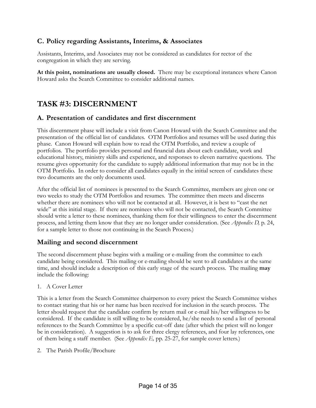## **C. Policy regarding Assistants, Interims, & Associates**

Assistants, Interims, and Associates may not be considered as candidates for rector of the congregation in which they are serving.

**At this point, nominations are usually closed.** There may be exceptional instances where Canon Howard asks the Search Committee to consider additional names.

# <span id="page-13-0"></span>**TASK #3: DISCERNMENT**

### **A. Presentation of candidates and first discernment**

This discernment phase will include a visit from Canon Howard with the Search Committee and the presentation of the official list of candidates. OTM Portfolios and resumes will be used during this phase. Canon Howard will explain how to read the OTM Portfolio, and review a couple of portfolios. The portfolio provides personal and financial data about each candidate, work and educational history, ministry skills and experience, and responses to eleven narrative questions. The resume gives opportunity for the candidate to supply additional information that may not be in the OTM Portfolio. In order to consider all candidates equally in the initial screen of candidates these two documents are the only documents used.

After the official list of nominees is presented to the Search Committee, members are given one or two weeks to study the OTM Portfolios and resumes. The committee then meets and discerns whether there are nominees who will not be contacted at all. However, it is best to "cast the net wide" at this initial stage. If there are nominees who will not be contacted, the Search Committee should write a letter to these nominees, thanking them for their willingness to enter the discernment process, and letting them know that they are no longer under consideration. (See *Appendix D,* p. 24, for a sample letter to those not continuing in the Search Process.)

### **Mailing and second discernment**

The second discernment phase begins with a mailing or e-mailing from the committee to each candidate being considered. This mailing or e-mailing should be sent to all candidates at the same time, and should include a description of this early stage of the search process. The mailing **may** include the following:

1. A Cover Letter

This is a letter from the Search Committee chairperson to every priest the Search Committee wishes to contact stating that his or her name has been received for inclusion in the search process. The letter should request that the candidate confirm by return mail or e-mail his/her willingness to be considered. If the candidate is still willing to be considered, he/she needs to send a list of personal references to the Search Committee by a specific cut-off date (after which the priest will no longer be in consideration). A suggestion is to ask for three clergy references, and four lay references, one of them being a staff member. (See *Appendix E,* pp. 25-27, for sample cover letters.)

2. The Parish Profile/Brochure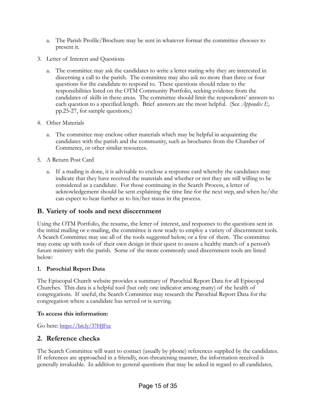- a. The Parish Profile/Brochure may be sent in whatever format the committee chooses to present it.
- 3. Letter of Interest and Questions
	- a. The committee may ask the candidates to write a letter stating why they are interested in discerning a call to the parish. The committee may also ask no more than three or four questions for the candidate to respond to. These questions should relate to the responsibilities listed on the OTM Community Portfolio, seeking evidence from the candidates of skills in these areas. The committee should limit the respondents' answers to each question to a specified length. Brief answers are the most helpful. (See *Appendix E*, pp.25-27, for sample questions.)
- 4. Other Materials
	- a. The committee may enclose other materials which may be helpful in acquainting the candidates with the parish and the community, such as brochures from the Chamber of Commerce, or other similar resources.
- 5. A Return Post Card
	- a. If a mailing is done, it is advisable to enclose a response card whereby the candidates may indicate that they have received the materials and whether or not they are still willing to be considered as a candidate. For those continuing in the Search Process, a letter of acknowledgement should be sent explaining the time line for the next step, and when he/she can expect to hear further as to his/her status in the process.

### **B. Variety of tools and next discernment**

Using the OTM Portfolio, the resume, the letter of interest, and responses to the questions sent in the initial mailing or e-mailing, the committee is now ready to employ a variety of discernment tools. A Search Committee may use all of the tools suggested below, or a few of them. The committee may come up with tools of their own design in their quest to assess a healthy match of a person's future ministry with the parish. Some of the more commonly used discernment tools are listed below:

#### **1. Parochial Report Data**

The Episcopal Church website provides a summary of Parochial Report Data for all Episcopal Churches. This data is a helpful tool (but only one indicator among many) of the health of congregations. If useful, the Search Committee may research the Parochial Report Data for the congregation where a candidate has served or is serving.

#### **To access this information:**

Go here:<https://bit.ly/37HJFce>

### **2. Reference checks**

The Search Committee will want to contact (usually by phone) references supplied by the candidates. If references are approached in a friendly, non-threatening manner, the information received is generally invaluable. In addition to general questions that may be asked in regard to all candidates,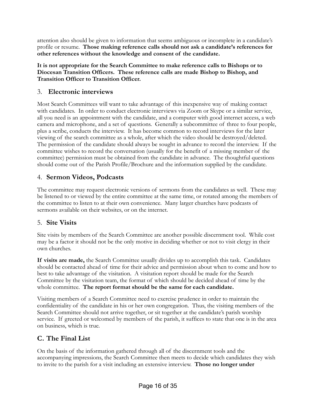attention also should be given to information that seems ambiguous or incomplete in a candidate's profile or resume. **Those making reference calls should not ask a candidate's references for other references without the knowledge and consent of the candidate.**

**It is not appropriate for the Search Committee to make reference calls to Bishops or to Diocesan Transition Officers. These reference calls are made Bishop to Bishop, and Transition Officer to Transition Officer.**

## 3. **Electronic interviews**

Most Search Committees will want to take advantage of this inexpensive way of making contact with candidates. In order to conduct electronic interviews via Zoom or Skype or a similar service, all you need is an appointment with the candidate, and a computer with good internet access, a web camera and microphone, and a set of questions. Generally a subcommittee of three to four people, plus a scribe, conducts the interview. It has become common to record interviews for the later viewing of the search committee as a whole, after which the video should be destroyed/deleted. The permission of the candidate should always be sought in advance to record the interview. If the committee wishes to record the conversation (usually for the benefit of a missing member of the committee) permission must be obtained from the candidate in advance. The thoughtful questions should come out of the Parish Profile/Brochure and the information supplied by the candidate.

# 4. **Sermon Videos, Podcasts**

The committee may request electronic versions of sermons from the candidates as well. These may be listened to or viewed by the entire committee at the same time, or rotated among the members of the committee to listen to at their own convenience. Many larger churches have podcasts of sermons available on their websites, or on the internet.

### 5. **Site Visits**

Site visits by members of the Search Committee are another possible discernment tool. While cost may be a factor it should not be the only motive in deciding whether or not to visit clergy in their own churches.

**If visits are made,** the Search Committee usually divides up to accomplish this task. Candidates should be contacted ahead of time for their advice and permission about when to come and how to best to take advantage of the visitation. A visitation report should be made for the Search Committee by the visitation team, the format of which should be decided ahead of time by the whole committee. **The report format should be the same for each candidate.**

Visiting members of a Search Committee need to exercise prudence in order to maintain the confidentiality of the candidate in his or her own congregation. Thus, the visiting members of the Search Committee should not arrive together, or sit together at the candidate's parish worship service. If greeted or welcomed by members of the parish, it suffices to state that one is in the area on business, which is true.

# **C. The Final List**

On the basis of the information gathered through all of the discernment tools and the accompanying impressions, the Search Committee then meets to decide which candidates they wish to invite to the parish for a visit including an extensive interview. **Those no longer under**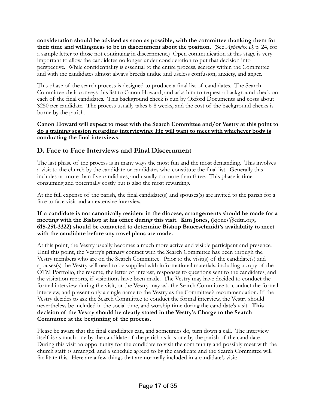**consideration should be advised as soon as possible, with the committee thanking them for their time and willingness to be in discernment about the position.** (See *Appendix D,* p. 24, for a sample letter to those not continuing in discernment.) Open communication at this stage is very important to allow the candidates no longer under consideration to put that decision into perspective. While confidentiality is essential to the entire process, secrecy within the Committee and with the candidates almost always breeds undue and useless confusion, anxiety, and anger.

This phase of the search process is designed to produce a final list of candidates. The Search Committee chair conveys this list to Canon Howard, and asks him to request a background check on each of the final candidates. This background check is run by Oxford Documents and costs about \$250 per candidate. The process usually takes 6-8 weeks, and the cost of the background checks is borne by the parish.

**Canon Howard will expect to meet with the Search Committee and/or Vestry at this point to do a training session regarding interviewing. He will want to meet with whichever body is conducting the final interviews.** 

## **D. Face to Face Interviews and Final Discernment**

The last phase of the process is in many ways the most fun and the most demanding. This involves a visit to the church by the candidate or candidates who constitute the final list. Generally this includes no more than five candidates, and usually no more than three. This phase is time consuming and potentially costly but is also the most rewarding.

At the full expense of the parish, the final candidate(s) and spouses(s) are invited to the parish for a face to face visit and an extensive interview.

#### **If a candidate is not canonically resident in the diocese, arrangements should be made for a**  meeting with the Bishop at his office during this visit. Kim Jones, (kjones@edtn.org, **615-251-3322) should be contacted to determine Bishop Bauerschmidt's availability to meet with the candidate before any travel plans are made.**

At this point, the Vestry usually becomes a much more active and visible participant and presence. Until this point, the Vestry's primary contact with the Search Committee has been through the Vestry members who are on the Search Committee. Prior to the visit(s) of the candidate(s) and spouses(s) the Vestry will need to be supplied with informational materials, including a copy of the OTM Portfolio, the resume, the letter of interest, responses to questions sent to the candidates, and the visitation reports, if visitations have been made. The Vestry may have decided to conduct the formal interview during the visit, or the Vestry may ask the Search Committee to conduct the formal interview, and present only a single name to the Vestry as the Committee's recommendation. If the Vestry decides to ask the Search Committee to conduct the formal interview, the Vestry should nevertheless be included in the social time, and worship time during the candidate's visit. **This decision of the Vestry should be clearly stated in the Vestry's Charge to the Search Committee at the beginning of the process.**

Please be aware that the final candidates can, and sometimes do, turn down a call. The interview itself is as much one by the candidate of the parish as it is one by the parish of the candidate. During this visit an opportunity for the candidate to visit the community and possibly meet with the church staff is arranged, and a schedule agreed to by the candidate and the Search Committee will facilitate this. Here are a few things that are normally included in a candidate's visit: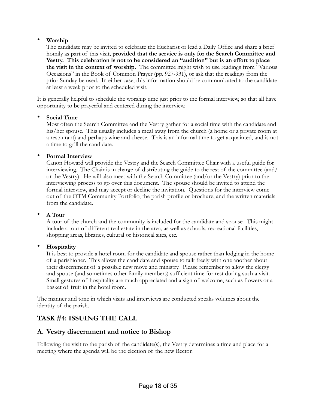#### • **Worship**

The candidate may be invited to celebrate the Eucharist or lead a Daily Office and share a brief homily as part of this visit, **provided that the service is only for the Search Committee and Vestry. This celebration is not to be considered an "audition" but is an effort to place the visit in the context of worship.** The committee might wish to use readings from "Various Occasions" in the Book of Common Prayer (pp. 927-931), or ask that the readings from the prior Sunday be used. In either case, this information should be communicated to the candidate at least a week prior to the scheduled visit.

It is generally helpful to schedule the worship time just prior to the formal interview, so that all have opportunity to be prayerful and centered during the interview.

#### • **Social Time**

Most often the Search Committee and the Vestry gather for a social time with the candidate and his/her spouse. This usually includes a meal away from the church (a home or a private room at a restaurant) and perhaps wine and cheese. This is an informal time to get acquainted, and is not a time to grill the candidate.

#### • **Formal Interview**

Canon Howard will provide the Vestry and the Search Committee Chair with a useful guide for interviewing. The Chair is in charge of distributing the guide to the rest of the committee (and/ or the Vestry). He will also meet with the Search Committee (and/or the Vestry) prior to the interviewing process to go over this document. The spouse should be invited to attend the formal interview, and may accept or decline the invitation. Questions for the interview come out of the OTM Community Portfolio, the parish profile or brochure, and the written materials from the candidate.

#### • **A Tour**

A tour of the church and the community is included for the candidate and spouse. This might include a tour of different real estate in the area, as well as schools, recreational facilities, shopping areas, libraries, cultural or historical sites, etc.

#### • **Hospitality**

It is best to provide a hotel room for the candidate and spouse rather than lodging in the home of a parishioner. This allows the candidate and spouse to talk freely with one another about their discernment of a possible new move and ministry. Please remember to allow the clergy and spouse (and sometimes other family members) sufficient time for rest during such a visit. Small gestures of hospitality are much appreciated and a sign of welcome, such as flowers or a basket of fruit in the hotel room.

The manner and tone in which visits and interviews are conducted speaks volumes about the identity of the parish.

# <span id="page-17-0"></span>**TASK #4: ISSUING THE CALL**

### **A. Vestry discernment and notice to Bishop**

Following the visit to the parish of the candidate(s), the Vestry determines a time and place for a meeting where the agenda will be the election of the new Rector.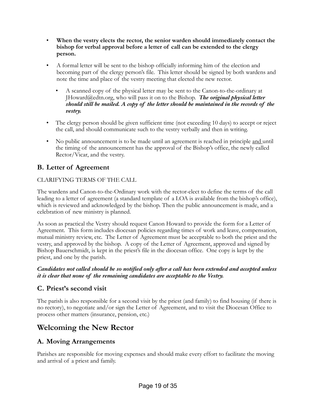- When the vestry elects the rector, the senior warden should immediately contact the **bishop for verbal approval before a letter of call can be extended to the clergy person.**
- A formal letter will be sent to the bishop officially informing him of the election and becoming part of the clergy person's file. This letter should be signed by both wardens and note the time and place of the vestry meeting that elected the new rector.
	- A scanned copy of the physical letter may be sent to the Canon-to-the-ordinary at JHoward@edtn.org, who will pass it on to the Bishop. *The original physical letter should still be mailed. A copy of the letter should be maintained in the records of the vestry.*
- The clergy person should be given sufficient time (not exceeding 10 days) to accept or reject the call, and should communicate such to the vestry verbally and then in writing.
- No public announcement is to be made until an agreement is reached in principle and until the timing of the announcement has the approval of the Bishop's office, the newly called Rector/Vicar, and the vestry.

# **B. Letter of Agreement**

### CLARIFYING TERMS OF THE CALL

The wardens and Canon-to-the-Ordinary work with the rector-elect to define the terms of the call leading to a letter of agreement (a standard template of a LOA is available from the bishop's office), which is reviewed and acknowledged by the bishop. Then the public announcement is made, and a celebration of new ministry is planned.

As soon as practical the Vestry should request Canon Howard to provide the form for a Letter of Agreement. This form includes diocesan policies regarding times of work and leave, compensation, mutual ministry review, etc. The Letter of Agreement must be acceptable to both the priest and the vestry, and approved by the bishop. A copy of the Letter of Agreement, approved and signed by Bishop Bauerschmidt, is kept in the priest's file in the diocesan office. One copy is kept by the priest, and one by the parish.

#### *Candidates not called should be so notified only after a call has been extended and accepted unless it is clear that none of the remaining candidates are acceptable to the Vestry.*

### **C. Priest's second visit**

The parish is also responsible for a second visit by the priest (and family) to find housing (if there is no rectory), to negotiate and/or sign the Letter of Agreement, and to visit the Diocesan Office to process other matters (insurance, pension, etc.)

# <span id="page-18-0"></span>**Welcoming the New Rector**

### **A. Moving Arrangements**

Parishes are responsible for moving expenses and should make every effort to facilitate the moving and arrival of a priest and family.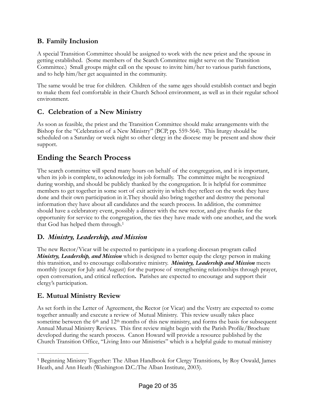# **B. Family Inclusion**

A special Transition Committee should be assigned to work with the new priest and the spouse in getting established. (Some members of the Search Committee might serve on the Transition Committee.) Small groups might call on the spouse to invite him/her to various parish functions, and to help him/her get acquainted in the community.

The same would be true for children. Children of the same ages should establish contact and begin to make them feel comfortable in their Church School environment, as well as in their regular school environment.

# **C. Celebration of a New Ministry**

As soon as feasible, the priest and the Transition Committee should make arrangements with the Bishop for the "Celebration of a New Ministry" (BCP, pp. 559-564). This liturgy should be scheduled on a Saturday or week night so other clergy in the diocese may be present and show their support.

# **Ending the Search Process**

The search committee will spend many hours on behalf of the congregation, and it is important, when its job is complete, to acknowledge its job formally. The committee might be recognized during worship, and should be publicly thanked by the congregation. It is helpful for committee members to get together in some sort of exit activity in which they reflect on the work they have done and their own participation in it.They should also bring together and destroy the personal information they have about all candidates and the search process. In addition, the committee should have a celebratory event, possibly a dinner with the new rector, and give thanks for the opportunity for service to the congregation, the ties they have made with one another, and the work that God has helped them through[.1](#page-19-0)

# <span id="page-19-1"></span>**D.** *Ministry, Leadership, and Mission*

The new Rector/Vicar will be expected to participate in a yearlong diocesan program called *Ministry, Leadership, and Mission* which is designed to better equip the clergy person in making this transition, and to encourage collaborative ministry. *Ministry, Leadership and Mission* meets monthly (except for July and August) for the purpose of strengthening relationships through prayer, open conversation, and critical reflection**.** Parishes are expected to encourage and support their clergy's participation*.*

# **E. Mutual Ministry Review**

As set forth in the Letter of Agreement, the Rector (or Vicar) and the Vestry are expected to come together annually and execute a review of Mutual Ministry. This review usually takes place sometime between the 6<sup>th</sup> and 12<sup>th</sup> months of this new ministry, and forms the basis for subsequent Annual Mutual Ministry Reviews. This first review might begin with the Parish Profile/Brochure developed during the search process. Canon Howard will provide a resource published by the Church Transition Office, "Living Into our Ministries" which is a helpful guide to mutual ministry

<span id="page-19-0"></span><sup>&</sup>lt;sup>[1](#page-19-1)</sup> Beginning Ministry Together: The Alban Handbook for Clergy Transitions, by Roy Oswald, James Heath, and Ann Heath (Washington D.C.:The Alban Institute, 2003).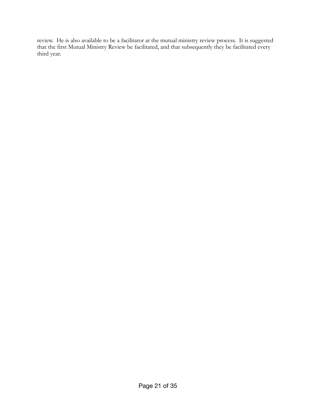review. He is also available to be a facilitator at the mutual ministry review process. It is suggested that the first Mutual Ministry Review be facilitated, and that subsequently they be facilitated every third year.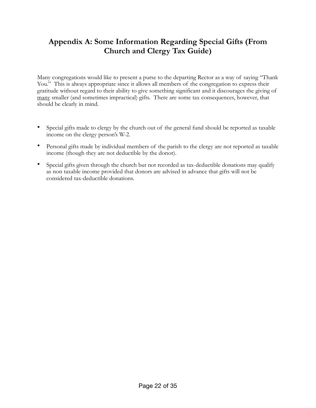# <span id="page-21-0"></span>**Appendix A: Some Information Regarding Special Gifts (From Church and Clergy Tax Guide)**

Many congregations would like to present a purse to the departing Rector as a way of saying "Thank You." This is always appropriate since it allows all members of the congregation to express their gratitude without regard to their ability to give something significant and it discourages the giving of many smaller (and sometimes impractical) gifts. There are some tax consequences, however, that should be clearly in mind.

- Special gifts made to clergy by the church out of the general fund should be reported as taxable income on the clergy person's W-2.
- Personal gifts made by individual members of the parish to the clergy are not reported as taxable income (though they are not deductible by the donor).
- Special gifts given through the church but not recorded as tax-deductible donations may qualify as non taxable income provided that donors are advised in advance that gifts will not be considered tax-deductible donations.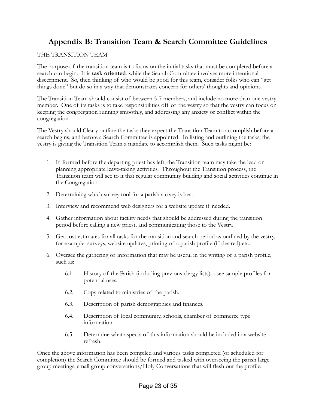# <span id="page-22-0"></span>**Appendix B: Transition Team & Search Committee Guidelines**

#### THE TRANSITION TEAM

The purpose of the transition team is to focus on the initial tasks that must be completed before a search can begin. It is **task oriented**, while the Search Committee involves more intentional discernment. So, then thinking of who would be good for this team, consider folks who can "get things done" but do so in a way that demonstrates concern for others' thoughts and opinions.

The Transition Team should consist of between 5-7 members, and include no more than one vestry member. One of its tasks is to take responsibilities off of the vestry so that the vestry can focus on keeping the congregation running smoothly, and addressing any anxiety or conflict within the congregation.

The Vestry should Cleary outline the tasks they expect the Transition Team to accomplish before a search begins, and before a Search Committee is appointed. In listing and outlining the tasks, the vestry is giving the Transition Team a mandate to accomplish them. Such tasks might be:

- 1. If formed before the departing priest has left, the Transition team may take the lead on planning appropriate leave-taking activities. Throughout the Transition process, the Transition team will see to it that regular community building and social activities continue in the Congregation.
- 2. Determining which survey tool for a parish survey is best.
- 3. Interview and recommend web designers for a website update if needed.
- 4. Gather information about facility needs that should be addressed during the transition period before calling a new priest, and communicating those to the Vestry.
- 5. Get cost estimates for all tasks for the transition and search period as outlined by the vestry, for example: surveys, website updates, printing of a parish profile (if desired) etc.
- 6. Oversee the gathering of information that may be useful in the writing of a parish profile, such as:
	- 6.1. History of the Parish (including previous clergy lists)—see sample profiles for potential uses.
	- 6.2. Copy related to ministries of the parish.
	- 6.3. Description of parish demographics and finances.
	- 6.4. Description of local community, schools, chamber of commerce type information.
	- 6.5. Determine what aspects of this information should be included in a website refresh.

Once the above information has been compiled and various tasks completed (or scheduled for completion) the Search Committee should be formed and tasked with overseeing the parish large group meetings, small group conversations/Holy Conversations that will flesh out the profile.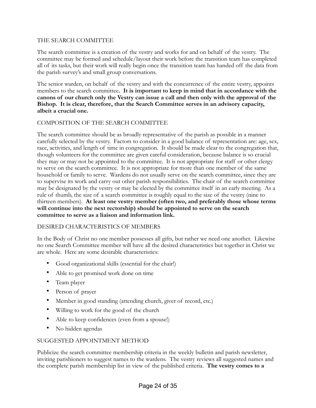#### THE SEARCH COMMITTEE

The search committee is a creation of the vestry and works for and on behalf of the vestry. The committee may be formed and schedule/layout their work before the transition team has completed all of its tasks, but their work will really begin once the transition team has handed off the data from the parish survey's and small group conversations.

The senior warden, on behalf of the vestry and with the concurrence of the entire vestry, appoints members to the search committee**. It is important to keep in mind that in accordance with the canons of our church only the Vestry can issue a call and then only with the approval of the Bishop. It is clear, therefore, that the Search Committee serves in an advisory capacity, albeit a crucial one.**

#### COMPOSITION OF THE SEARCH COMMITTEE

The search committee should be as broadly representative of the parish as possible in a manner carefully selected by the vestry. Factors to consider in a good balance of representation are: age, sex, race, activities, and length of time in congregation. It should be made clear to the congregation that, though volunteers for the committee are given careful consideration, because balance is so crucial they may or may not be appointed to the committee. It is not appropriate for staff or other clergy to serve on the search committee. It is not appropriate for more than one member of the same household or family to serve. Wardens do not usually serve on the search committee, since they are to supervise its work and carry out other parish responsibilities. The chair of the search committee may be designated by the vestry or may be elected by the committee itself in an early meeting. As a rule of thumb, the size of a search committee is roughly equal to the size of the vestry (nine to thirteen members). **At least one vestry member (often two, and preferably those whose terms will continue into the next rectorship) should be appointed to serve on the search committee to serve as a liaison and information link.**

#### DESIRED CHARACTERISTICS OF MEMBERS

In the Body of Christ no one member possesses all gifts, but rather we need one another. Likewise no one Search Committee member will have all the desired characteristics but together in Christ we are whole. Here are some desirable characteristics:

- Good organizational skills (essential for the chair!)
- Able to get promised work done on time
- Team player
- Person of prayer
- Member in good standing (attending church, giver of record, etc.)
- Willing to work for the good of the church
- Able to keep confidences (even from a spouse!)
- No hidden agendas

#### SUGGESTED APPOINTMENT METHOD

Publicize the search committee membership criteria in the weekly bulletin and parish newsletter, inviting parishioners to suggest names to the wardens. The vestry reviews all suggested names and the complete parish membership list in view of the published criteria. **The vestry comes to a**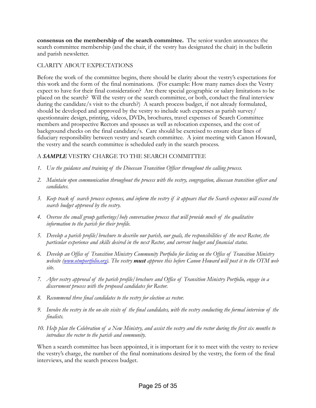**consensus on the membership of the search committee.** The senior warden announces the search committee membership (and the chair, if the vestry has designated the chair) in the bulletin and parish newsletter.

#### CLARITY ABOUT EXPECTATIONS

Before the work of the committee begins, there should be clarity about the vestry's expectations for this work and the form of the final nominations. (For example: How many names does the Vestry expect to have for their final consideration? Are there special geographic or salary limitations to be placed on the search? Will the vestry or the search committee, or both, conduct the final interview during the candidate/s visit to the church?) A search process budget, if not already formulated, should be developed and approved by the vestry to include such expenses as parish survey/ questionnaire design, printing, videos, DVDs, brochures, travel expenses of Search Committee members and prospective Rectors and spouses as well as relocation expenses, and the cost of background checks on the final candidate/s. Care should be exercised to ensure clear lines of fiduciary responsibility between vestry and search committee. A joint meeting with Canon Howard, the vestry and the search committee is scheduled early in the search process.

#### A *SAMPLE* VESTRY CHARGE TO THE SEARCH COMMITTEE

- *1. Use the guidance and training of the Diocesan Transition Officer throughout the calling process.*
- *2. Maintain open communication throughout the process with the vestry, congregation, diocesan transition officer and candidates.*
- *3. Keep track of search process expenses, and inform the vestry if it appears that the Search expenses will exceed the search budget approved by the vestry.*
- *4. Oversee the small group gatherings/holy conversation process that will provide much of the qualitative information to the parish for their profile.*
- *5. Develop a parish profile/brochure to describe our parish, our goals, the responsibilities of the next Rector, the particular experience and skills desired in the next Rector, and current budget and financial status.*
- *6. Develop an Office of Transition Ministry Community Portfolio for listing on the Office of Transition Ministry website ([www.otmportfolio.org](http://www.otmportfolio.org)). The vestry must approve this before Canon Howard will post it to the OTM web site.*
- *7. After vestry approval of the parish profile/brochure and Office of Transition Ministry Portfolio, engage in a discernment process with the proposed candidates for Rector.*
- *8. Recommend three final candidates to the vestry for election as rector.*
- *9. Involve the vestry in the on-site visits of the final candidates, with the vestry conducting the formal interview of the finalists.*
- *10. Help plan the Celebration of a New Ministry, and assist the vestry and the rector during the first six months to introduce the rector to the parish and community.*

When a search committee has been appointed, it is important for it to meet with the vestry to review the vestry's charge, the number of the final nominations desired by the vestry, the form of the final interviews, and the search process budget.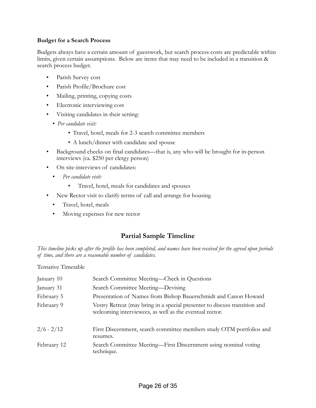#### **Budget for a Search Process**

Budgets always have a certain amount of guesswork, but search process costs are predictable within limits, given certain assumptions. Below are items that may need to be included in a transition & search process budget.

- Parish Survey cost
- Parish Profile/Brochure cost
- Mailing, printing, copying costs
- Electronic interviewing cost
- Visiting candidates in their setting:
	- *Per candidate visit:*
		- Travel, hotel, meals for 2-3 search committee members
		- A lunch/dinner with candidate and spouse
- Background checks on final candidates—that is, any who will be brought for in-person interviews (ca. \$250 per clergy person)
- On site-interviews of candidates:
	- *Per candidate visit:*
		- Travel, hotel, meals for candidates and spouses
- New Rector visit to clarify terms of call and arrange for housing
	- Travel, hotel, meals
	- Moving expenses for new rector

# **Partial Sample Timeline**

*This timeline picks up after the profile has been completed, and names have been received for the agreed upon periods of time, and there are a reasonable number of candidates.*

Tentative Timetable

| January 10   | Search Committee Meeting—Check in Questions                                                                                           |
|--------------|---------------------------------------------------------------------------------------------------------------------------------------|
| January 31   | Search Committee Meeting—Devising                                                                                                     |
| February 5   | Presentation of Names from Bishop Bauerschmidt and Canon Howard                                                                       |
| February 9   | Vestry Retreat (may bring in a special presenter to discuss transition and<br>welcoming interviewees, as well as the eventual rector. |
| $2/6 - 2/12$ | First Discernment, search committee members study OTM portfolios and<br>resumes.                                                      |
| February 12  | Search Committee Meeting-First Discernment using nominal voting<br>technique.                                                         |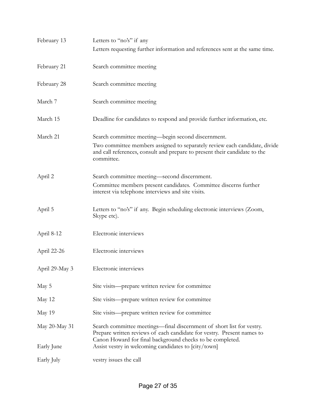| February 13    | Letters to "no's" if any                                                                                                                                                                                                     |
|----------------|------------------------------------------------------------------------------------------------------------------------------------------------------------------------------------------------------------------------------|
|                | Letters requesting further information and references sent at the same time.                                                                                                                                                 |
| February 21    | Search committee meeting                                                                                                                                                                                                     |
| February 28    | Search committee meeting                                                                                                                                                                                                     |
| March 7        | Search committee meeting                                                                                                                                                                                                     |
| March 15       | Deadline for candidates to respond and provide further information, etc.                                                                                                                                                     |
| March 21       | Search committee meeting—begin second discernment.<br>Two committee members assigned to separately review each candidate, divide<br>and call references, consult and prepare to present their candidate to the<br>committee. |
| April 2        | Search committee meeting—second discernment.<br>Committee members present candidates. Committee discerns further<br>interest via telephone interviews and site visits.                                                       |
| April 5        | Letters to "no's" if any. Begin scheduling electronic interviews (Zoom,<br>Skype etc).                                                                                                                                       |
| April 8-12     | Electronic interviews                                                                                                                                                                                                        |
| April 22-26    | Electronic interviews                                                                                                                                                                                                        |
| April 29-May 3 | Electronic interviews                                                                                                                                                                                                        |
| May 5          | Site visits—prepare written review for committee                                                                                                                                                                             |
| May 12         | Site visits—prepare written review for committee                                                                                                                                                                             |
| May 19         | Site visits—prepare written review for committee                                                                                                                                                                             |
| May 20-May 31  | Search committee meetings—final discernment of short list for vestry.<br>Prepare written reviews of each candidate for vestry. Present names to<br>Canon Howard for final background checks to be completed.                 |
| Early June     | Assist vestry in welcoming candidates to [city/town]                                                                                                                                                                         |
| Early July     | vestry issues the call                                                                                                                                                                                                       |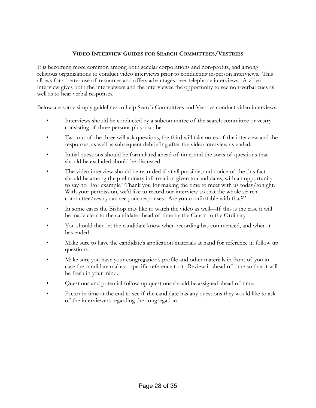#### **VIDEO INTERVIEW GUIDES FOR SEARCH COMMITTEES/VESTRIES**

It is becoming more common among both secular corporations and non-profits, and among religious organizations to conduct video interviews prior to conducting in-person interviews. This allows for a better use of resources and offers advantages over telephone interviews. A video interview gives both the interviewers and the interviewee the opportunity to see non-verbal cues as well as to hear verbal responses.

Below are some simply guidelines to help Search Committees and Vestries conduct video interviews:

- Interviews should be conducted by a subcommittee of the search committee or vestry consisting of three persons plus a scribe.
- Two out of the three will ask questions, the third will take notes of the interview and the responses, as well as subsequent debriefing after the video interview as ended.
- Initial questions should be formulated ahead of time, and the sorts of questions that should be excluded should be discussed.
- The video interview should be recorded if at all possible, and notice of the this fact should be among the preliminary information given to candidates, with an opportunity to say no. For example "Thank you for making the time to meet with us today/tonight. With your permission, we'd like to record our interview so that the whole search committee/vestry can see your responses. Are you comfortable with that?"
- In some cases the Bishop may like to watch the video as well—If this is the case it will be made clear to the candidate ahead of time by the Canon to the Ordinary.
- You should then let the candidate know when recording has commenced, and when it has ended.
- Make sure to have the candidate's application materials at hand for reference in follow up questions.
- Make sure you have your congregation's profile and other materials in front of you in case the candidate makes a specific reference to it. Review it ahead of time so that it will be fresh in your mind.
- Questions and potential follow-up questions should be assigned ahead of time.
- Factor in time at the end to see if the candidate has any questions they would like to ask of the interviewers regarding the congregation.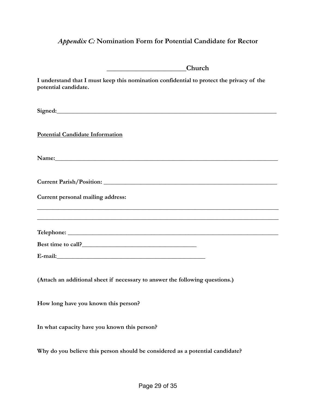# <span id="page-28-0"></span>*Appendix C:* **Nomination Form for Potential Candidate for Rector**

| Church                                                                                                                                                                                                                         |
|--------------------------------------------------------------------------------------------------------------------------------------------------------------------------------------------------------------------------------|
| I understand that I must keep this nomination confidential to protect the privacy of the<br>potential candidate.                                                                                                               |
| Signed: Signed:                                                                                                                                                                                                                |
| <b>Potential Candidate Information</b>                                                                                                                                                                                         |
|                                                                                                                                                                                                                                |
|                                                                                                                                                                                                                                |
| Current personal mailing address:                                                                                                                                                                                              |
| ,我们也不能在这里的时候,我们也不能在这里的时候,我们也不能会在这里的时候,我们也不能会在这里的时候,我们也不能会在这里的时候,我们也不能会在这里的时候,我们也不                                                                                                                                              |
|                                                                                                                                                                                                                                |
|                                                                                                                                                                                                                                |
| E-mail: explorer and the second state of the second state of the second state of the second state of the second state of the second state of the second state of the second state of the second state of the second state of t |
| (Attach an additional sheet if necessary to answer the following questions.)                                                                                                                                                   |
| How long have you known this person?                                                                                                                                                                                           |
| In what capacity have you known this person?                                                                                                                                                                                   |
| Why do you believe this person should be considered as a potential candidate?                                                                                                                                                  |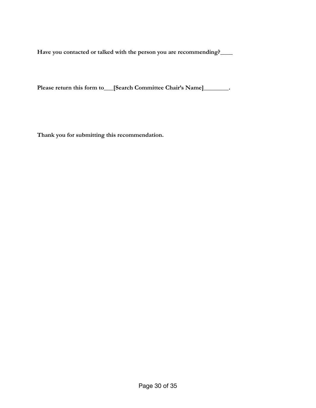**Have you contacted or talked with the person you are recommending?\_\_\_\_**

Please return this form to\_\_\_[Search Committee Chair's Name]\_\_\_\_\_\_\_\_.

**Thank you for submitting this recommendation.**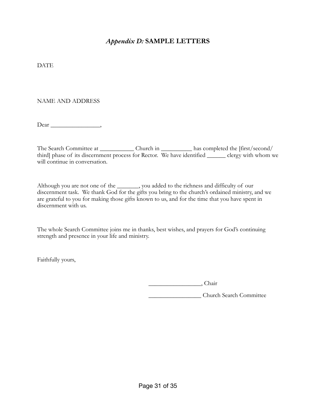# <span id="page-30-0"></span>*Appendix D:* **SAMPLE LETTERS**

**DATE** 

#### NAME AND ADDRESS

 $Dear$  \_\_\_\_\_\_\_\_\_\_\_\_\_\_\_\_\_\_\_,

The Search Committee at \_\_\_\_\_\_\_\_\_\_\_\_ Church in \_\_\_\_\_\_\_\_\_\_\_ has completed the [first/second/ third] phase of its discernment process for Rector. We have identified \_\_\_\_\_\_ clergy with whom we will continue in conversation.

Although you are not one of the \_\_\_\_\_\_\_, you added to the richness and difficulty of our discernment task. We thank God for the gifts you bring to the church's ordained ministry, and we are grateful to you for making those gifts known to us, and for the time that you have spent in discernment with us.

The whole Search Committee joins me in thanks, best wishes, and prayers for God's continuing strength and presence in your life and ministry.

Faithfully yours,

\_\_\_\_\_\_\_\_\_\_\_\_\_\_\_\_\_, Chair

\_\_\_\_\_\_\_\_\_\_\_\_\_\_\_\_\_ Church Search Committee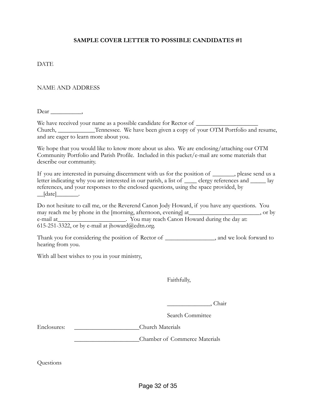#### **SAMPLE COVER LETTER TO POSSIBLE CANDIDATES #1**

#### **DATE**

#### NAME AND ADDRESS

Dear ,

We have received your name as a possible candidate for Rector of \_\_\_\_\_\_\_\_\_\_\_\_\_\_\_ Church, \_\_\_\_\_\_\_\_\_\_\_\_Tennessee. We have been given a copy of your OTM Portfolio and resume, and are eager to learn more about you.

We hope that you would like to know more about us also. We are enclosing/attaching our OTM Community Portfolio and Parish Profile. Included in this packet/e-mail are some materials that describe our community.

If you are interested in pursuing discernment with us for the position of \_\_\_\_\_\_\_, please send us a letter indicating why you are interested in our parish, a list of <u>equal clergy</u> references and <u>equal</u> lay references, and your responses to the enclosed questions, using the space provided, by  $\Box$ [date] $\Box$ 

Do not hesitate to call me, or the Reverend Canon Jody Howard, if you have any questions. You may reach me by phone in the [morning, afternoon, evening] at\_\_\_\_\_\_\_\_\_\_\_\_\_\_\_\_\_\_\_\_\_\_\_, or by e-mail at \_\_\_\_\_\_\_\_\_\_\_\_\_\_\_\_\_\_\_\_\_\_\_\_. You may reach Canon Howard during the day at: 615-251-3322, or by e-mail at jhoward@edtn.org.

Thank you for considering the position of Rector of \_\_\_\_\_\_\_\_\_\_\_\_\_\_\_\_, and we look forward to hearing from you.

With all best wishes to you in your ministry,

Faithfully,

\_\_\_\_\_\_\_\_\_\_\_\_\_\_, Chair

Search Committee

Enclosures: \_\_\_\_\_\_\_\_\_\_\_\_\_\_\_\_\_\_\_\_\_Church Materials

\_\_\_\_\_\_\_\_\_\_\_\_\_\_\_\_\_\_\_\_\_Chamber of Commerce Materials

Questions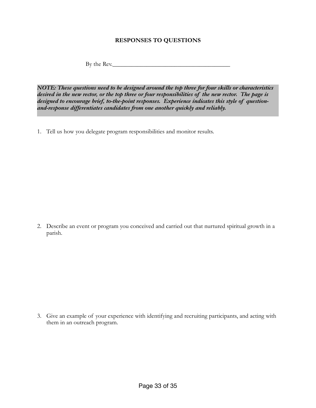#### **RESPONSES TO QUESTIONS**

By the Rev.

*NOTE: These questions need to be designed around the top three for four skills or characteristics desired in the new rector, or the top three or four responsibilities of the new rector. The page is designed to encourage brief, to-the-point responses. Experience indicates this style of questionand-response differentiates candidates from one another quickly and reliably.*

1. Tell us how you delegate program responsibilities and monitor results.

2. Describe an event or program you conceived and carried out that nurtured spiritual growth in a parish.

3. Give an example of your experience with identifying and recruiting participants, and acting with them in an outreach program.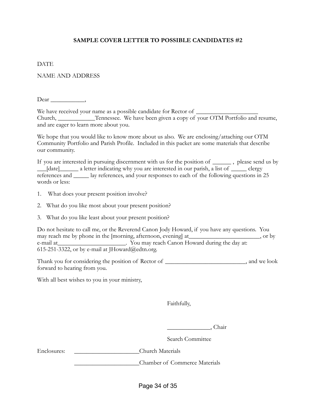#### **SAMPLE COVER LETTER TO POSSIBLE CANDIDATES #2**

#### **DATE**

NAME AND ADDRESS

Dear \_\_\_\_\_\_\_\_,

We have received your name as a possible candidate for Rector of \_\_\_\_\_\_\_\_\_\_\_\_\_\_\_ Church, \_\_\_\_\_\_\_\_\_\_\_\_Tennessee. We have been given a copy of your OTM Portfolio and resume, and are eager to learn more about you.

We hope that you would like to know more about us also. We are enclosing/attaching our OTM Community Portfolio and Parish Profile. Included in this packet are some materials that describe our community.

If you are interested in pursuing discernment with us for the position of \_\_\_\_\_\_ , please send us by \_\_\_[date]\_\_\_\_\_\_ a letter indicating why you are interested in our parish, a list of \_\_\_\_\_ clergy references and \_\_\_\_\_ lay references, and your responses to each of the following questions in 25 words or less:

- 1. What does your present position involve?
- 2. What do you like most about your present position?
- 3. What do you like least about your present position?

Do not hesitate to call me, or the Reverend Canon Jody Howard, if you have any questions. You may reach me by phone in the [morning, afternoon, evening] at\_\_\_\_\_\_\_\_\_\_\_\_\_\_\_\_\_\_\_\_\_\_\_, or by e-mail at \_\_\_\_\_\_\_\_\_\_\_\_\_\_\_\_\_\_\_\_\_\_\_. You may reach Canon Howard during the day at: 615-251-3322, or by e-mail at  $Howard@edtn.org$ .

Thank you for considering the position of Rector of \_\_\_\_\_\_\_\_\_\_\_\_\_\_\_\_\_\_\_\_\_\_\_\_\_\_, and we look forward to hearing from you.

With all best wishes to you in your ministry,

Faithfully,

\_\_\_\_\_\_\_\_\_\_\_\_\_\_, Chair

Search Committee

Enclosures: \_\_\_\_\_\_\_\_\_\_\_\_\_\_\_\_\_\_\_\_\_Church Materials

\_\_\_\_\_\_\_\_\_\_\_\_\_\_\_\_\_\_\_\_\_Chamber of Commerce Materials